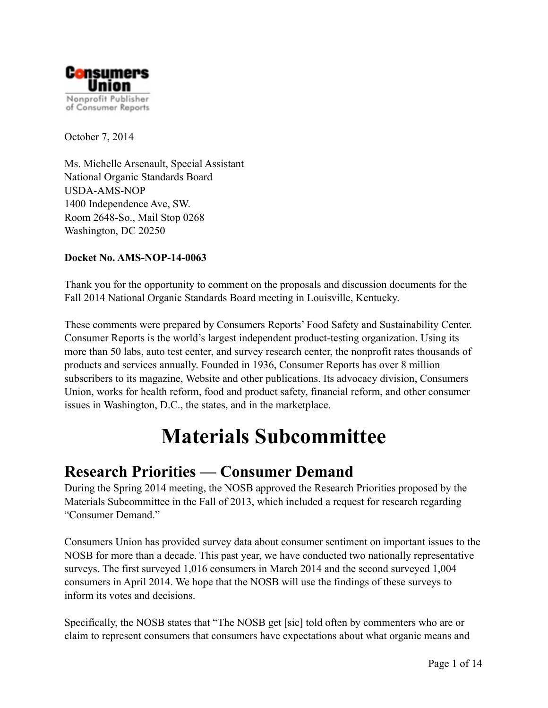

October 7, 2014

Ms. Michelle Arsenault, Special Assistant National Organic Standards Board USDA-AMS-NOP 1400 Independence Ave, SW. Room 2648-So., Mail Stop 0268 Washington, DC 20250

#### **Docket No. AMS-NOP-14-0063**

Thank you for the opportunity to comment on the proposals and discussion documents for the Fall 2014 National Organic Standards Board meeting in Louisville, Kentucky.

These comments were prepared by Consumers Reports' Food Safety and Sustainability Center. Consumer Reports is the world's largest independent product-testing organization. Using its more than 50 labs, auto test center, and survey research center, the nonprofit rates thousands of products and services annually. Founded in 1936, Consumer Reports has over 8 million subscribers to its magazine, Website and other publications. Its advocacy division, Consumers Union, works for health reform, food and product safety, financial reform, and other consumer issues in Washington, D.C., the states, and in the marketplace.

## **Materials Subcommittee**

#### **Research Priorities — Consumer Demand**

During the Spring 2014 meeting, the NOSB approved the Research Priorities proposed by the Materials Subcommittee in the Fall of 2013, which included a request for research regarding "Consumer Demand."

Consumers Union has provided survey data about consumer sentiment on important issues to the NOSB for more than a decade. This past year, we have conducted two nationally representative surveys. The first surveyed 1,016 consumers in March 2014 and the second surveyed 1,004 consumers in April 2014. We hope that the NOSB will use the findings of these surveys to inform its votes and decisions.

Specifically, the NOSB states that "The NOSB get [sic] told often by commenters who are or claim to represent consumers that consumers have expectations about what organic means and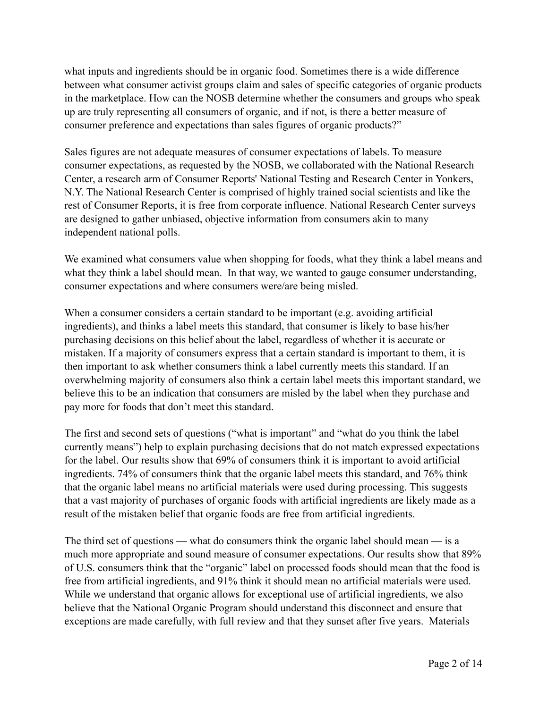what inputs and ingredients should be in organic food. Sometimes there is a wide difference between what consumer activist groups claim and sales of specific categories of organic products in the marketplace. How can the NOSB determine whether the consumers and groups who speak up are truly representing all consumers of organic, and if not, is there a better measure of consumer preference and expectations than sales figures of organic products?"

Sales figures are not adequate measures of consumer expectations of labels. To measure consumer expectations, as requested by the NOSB, we collaborated with the National Research Center, a research arm of Consumer Reports' National Testing and Research Center in Yonkers, N.Y. The National Research Center is comprised of highly trained social scientists and like the rest of Consumer Reports, it is free from corporate influence. National Research Center surveys are designed to gather unbiased, objective information from consumers akin to many independent national polls.

We examined what consumers value when shopping for foods, what they think a label means and what they think a label should mean. In that way, we wanted to gauge consumer understanding, consumer expectations and where consumers were/are being misled.

When a consumer considers a certain standard to be important (e.g. avoiding artificial ingredients), and thinks a label meets this standard, that consumer is likely to base his/her purchasing decisions on this belief about the label, regardless of whether it is accurate or mistaken. If a majority of consumers express that a certain standard is important to them, it is then important to ask whether consumers think a label currently meets this standard. If an overwhelming majority of consumers also think a certain label meets this important standard, we believe this to be an indication that consumers are misled by the label when they purchase and pay more for foods that don't meet this standard.

The first and second sets of questions ("what is important" and "what do you think the label currently means") help to explain purchasing decisions that do not match expressed expectations for the label. Our results show that 69% of consumers think it is important to avoid artificial ingredients. 74% of consumers think that the organic label meets this standard, and 76% think that the organic label means no artificial materials were used during processing. This suggests that a vast majority of purchases of organic foods with artificial ingredients are likely made as a result of the mistaken belief that organic foods are free from artificial ingredients.

The third set of questions — what do consumers think the organic label should mean — is a much more appropriate and sound measure of consumer expectations. Our results show that 89% of U.S. consumers think that the "organic" label on processed foods should mean that the food is free from artificial ingredients, and 91% think it should mean no artificial materials were used. While we understand that organic allows for exceptional use of artificial ingredients, we also believe that the National Organic Program should understand this disconnect and ensure that exceptions are made carefully, with full review and that they sunset after five years. Materials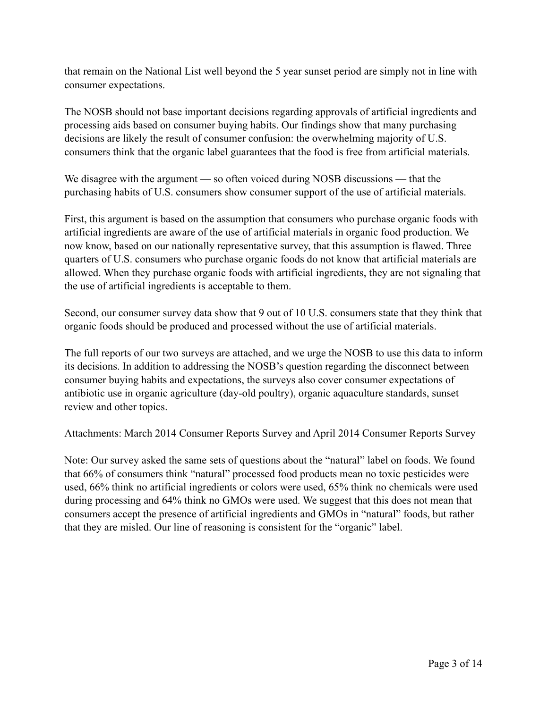that remain on the National List well beyond the 5 year sunset period are simply not in line with consumer expectations.

The NOSB should not base important decisions regarding approvals of artificial ingredients and processing aids based on consumer buying habits. Our findings show that many purchasing decisions are likely the result of consumer confusion: the overwhelming majority of U.S. consumers think that the organic label guarantees that the food is free from artificial materials.

We disagree with the argument — so often voiced during NOSB discussions — that the purchasing habits of U.S. consumers show consumer support of the use of artificial materials.

First, this argument is based on the assumption that consumers who purchase organic foods with artificial ingredients are aware of the use of artificial materials in organic food production. We now know, based on our nationally representative survey, that this assumption is flawed. Three quarters of U.S. consumers who purchase organic foods do not know that artificial materials are allowed. When they purchase organic foods with artificial ingredients, they are not signaling that the use of artificial ingredients is acceptable to them.

Second, our consumer survey data show that 9 out of 10 U.S. consumers state that they think that organic foods should be produced and processed without the use of artificial materials.

The full reports of our two surveys are attached, and we urge the NOSB to use this data to inform its decisions. In addition to addressing the NOSB's question regarding the disconnect between consumer buying habits and expectations, the surveys also cover consumer expectations of antibiotic use in organic agriculture (day-old poultry), organic aquaculture standards, sunset review and other topics.

Attachments: March 2014 Consumer Reports Survey and April 2014 Consumer Reports Survey

Note: Our survey asked the same sets of questions about the "natural" label on foods. We found that 66% of consumers think "natural" processed food products mean no toxic pesticides were used, 66% think no artificial ingredients or colors were used, 65% think no chemicals were used during processing and 64% think no GMOs were used. We suggest that this does not mean that consumers accept the presence of artificial ingredients and GMOs in "natural" foods, but rather that they are misled. Our line of reasoning is consistent for the "organic" label.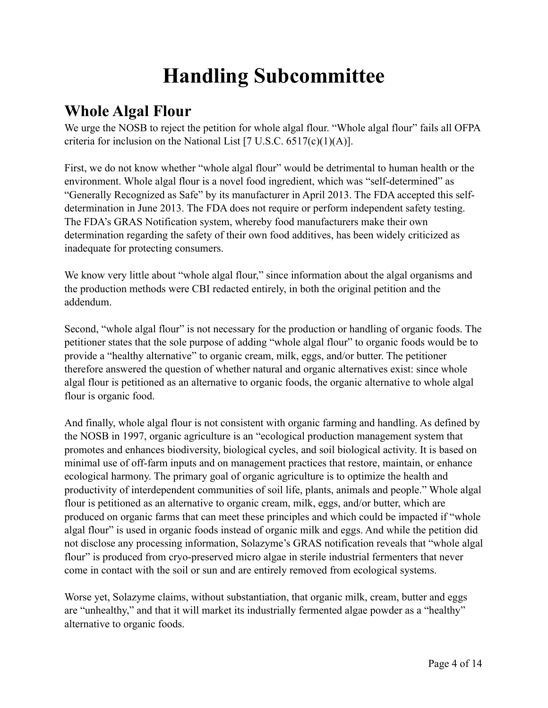# **Handling Subcommittee**

### **Whole Algal Flour**

We urge the NOSB to reject the petition for whole algal flour. "Whole algal flour" fails all OFPA criteria for inclusion on the National List  $[7 \text{ U.S.C. } 6517 \text{ (c)}(1)(\text{A})]$ .

First, we do not know whether "whole algal flour" would be detrimental to human health or the environment. Whole algal flour is a novel food ingredient, which was "self-determined" as "Generally Recognized as Safe" by its manufacturer in April 2013. The FDA accepted this selfdetermination in June 2013. The FDA does not require or perform independent safety testing. The FDA's GRAS Notification system, whereby food manufacturers make their own determination regarding the safety of their own food additives, has been widely criticized as inadequate for protecting consumers.

We know very little about "whole algal flour," since information about the algal organisms and the production methods were CBI redacted entirely, in both the original petition and the addendum.

Second, "whole algal flour" is not necessary for the production or handling of organic foods. The petitioner states that the sole purpose of adding "whole algal flour" to organic foods would be to provide a "healthy alternative" to organic cream, milk, eggs, and/or butter. The petitioner therefore answered the question of whether natural and organic alternatives exist: since whole algal flour is petitioned as an alternative to organic foods, the organic alternative to whole algal flour is organic food.

And finally, whole algal flour is not consistent with organic farming and handling. As defined by the NOSB in 1997, organic agriculture is an "ecological production management system that promotes and enhances biodiversity, biological cycles, and soil biological activity. It is based on minimal use of off-farm inputs and on management practices that restore, maintain, or enhance ecological harmony. The primary goal of organic agriculture is to optimize the health and productivity of interdependent communities of soil life, plants, animals and people." Whole algal flour is petitioned as an alternative to organic cream, milk, eggs, and/or butter, which are produced on organic farms that can meet these principles and which could be impacted if "whole algal flour" is used in organic foods instead of organic milk and eggs. And while the petition did not disclose any processing information, Solazyme's GRAS notification reveals that "whole algal flour" is produced from cryo-preserved micro algae in sterile industrial fermenters that never come in contact with the soil or sun and are entirely removed from ecological systems.

Worse yet, Solazyme claims, without substantiation, that organic milk, cream, butter and eggs are "unhealthy," and that it will market its industrially fermented algae powder as a "healthy" alternative to organic foods.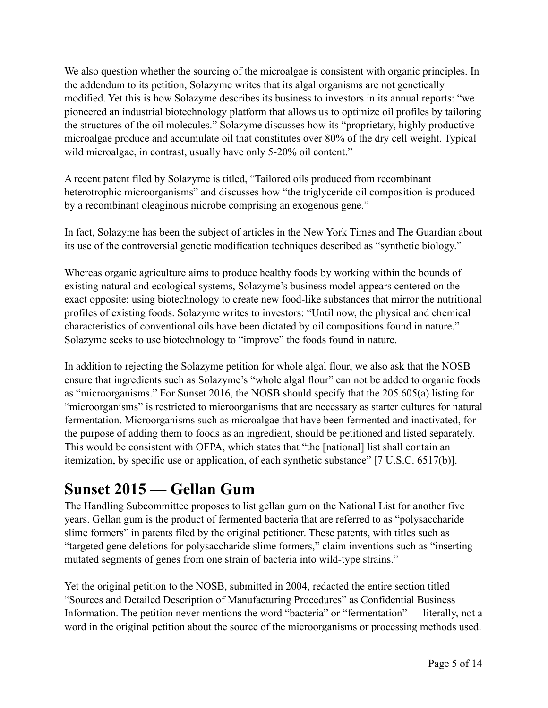We also question whether the sourcing of the microalgae is consistent with organic principles. In the addendum to its petition, Solazyme writes that its algal organisms are not genetically modified. Yet this is how Solazyme describes its business to investors in its annual reports: "we pioneered an industrial biotechnology platform that allows us to optimize oil profiles by tailoring the structures of the oil molecules." Solazyme discusses how its "proprietary, highly productive microalgae produce and accumulate oil that constitutes over 80% of the dry cell weight. Typical wild microalgae, in contrast, usually have only 5-20% oil content."

A recent patent filed by Solazyme is titled, "Tailored oils produced from recombinant heterotrophic microorganisms" and discusses how "the triglyceride oil composition is produced by a recombinant oleaginous microbe comprising an exogenous gene."

In fact, Solazyme has been the subject of articles in the New York Times and The Guardian about its use of the controversial genetic modification techniques described as "synthetic biology."

Whereas organic agriculture aims to produce healthy foods by working within the bounds of existing natural and ecological systems, Solazyme's business model appears centered on the exact opposite: using biotechnology to create new food-like substances that mirror the nutritional profiles of existing foods. Solazyme writes to investors: "Until now, the physical and chemical characteristics of conventional oils have been dictated by oil compositions found in nature." Solazyme seeks to use biotechnology to "improve" the foods found in nature.

In addition to rejecting the Solazyme petition for whole algal flour, we also ask that the NOSB ensure that ingredients such as Solazyme's "whole algal flour" can not be added to organic foods as "microorganisms." For Sunset 2016, the NOSB should specify that the 205.605(a) listing for "microorganisms" is restricted to microorganisms that are necessary as starter cultures for natural fermentation. Microorganisms such as microalgae that have been fermented and inactivated, for the purpose of adding them to foods as an ingredient, should be petitioned and listed separately. This would be consistent with OFPA, which states that "the [national] list shall contain an itemization, by specific use or application, of each synthetic substance" [7 U.S.C. 6517(b)].

### **Sunset 2015 — Gellan Gum**

The Handling Subcommittee proposes to list gellan gum on the National List for another five years. Gellan gum is the product of fermented bacteria that are referred to as "polysaccharide slime formers" in patents filed by the original petitioner. These patents, with titles such as "targeted gene deletions for polysaccharide slime formers," claim inventions such as "inserting mutated segments of genes from one strain of bacteria into wild-type strains."

Yet the original petition to the NOSB, submitted in 2004, redacted the entire section titled "Sources and Detailed Description of Manufacturing Procedures" as Confidential Business Information. The petition never mentions the word "bacteria" or "fermentation" — literally, not a word in the original petition about the source of the microorganisms or processing methods used.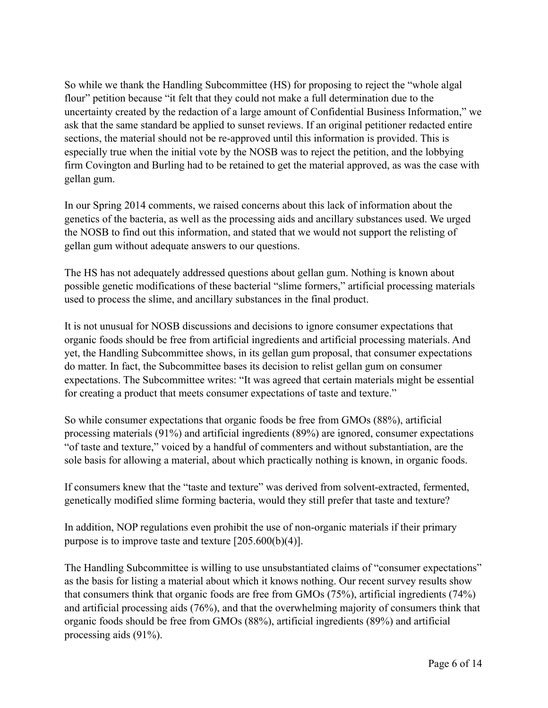So while we thank the Handling Subcommittee (HS) for proposing to reject the "whole algal flour" petition because "it felt that they could not make a full determination due to the uncertainty created by the redaction of a large amount of Confidential Business Information," we ask that the same standard be applied to sunset reviews. If an original petitioner redacted entire sections, the material should not be re-approved until this information is provided. This is especially true when the initial vote by the NOSB was to reject the petition, and the lobbying firm Covington and Burling had to be retained to get the material approved, as was the case with gellan gum.

In our Spring 2014 comments, we raised concerns about this lack of information about the genetics of the bacteria, as well as the processing aids and ancillary substances used. We urged the NOSB to find out this information, and stated that we would not support the relisting of gellan gum without adequate answers to our questions.

The HS has not adequately addressed questions about gellan gum. Nothing is known about possible genetic modifications of these bacterial "slime formers," artificial processing materials used to process the slime, and ancillary substances in the final product.

It is not unusual for NOSB discussions and decisions to ignore consumer expectations that organic foods should be free from artificial ingredients and artificial processing materials. And yet, the Handling Subcommittee shows, in its gellan gum proposal, that consumer expectations do matter. In fact, the Subcommittee bases its decision to relist gellan gum on consumer expectations. The Subcommittee writes: "It was agreed that certain materials might be essential for creating a product that meets consumer expectations of taste and texture."

So while consumer expectations that organic foods be free from GMOs (88%), artificial processing materials (91%) and artificial ingredients (89%) are ignored, consumer expectations "of taste and texture," voiced by a handful of commenters and without substantiation, are the sole basis for allowing a material, about which practically nothing is known, in organic foods.

If consumers knew that the "taste and texture" was derived from solvent-extracted, fermented, genetically modified slime forming bacteria, would they still prefer that taste and texture?

In addition, NOP regulations even prohibit the use of non-organic materials if their primary purpose is to improve taste and texture [205.600(b)(4)].

The Handling Subcommittee is willing to use unsubstantiated claims of "consumer expectations" as the basis for listing a material about which it knows nothing. Our recent survey results show that consumers think that organic foods are free from GMOs (75%), artificial ingredients (74%) and artificial processing aids (76%), and that the overwhelming majority of consumers think that organic foods should be free from GMOs (88%), artificial ingredients (89%) and artificial processing aids (91%).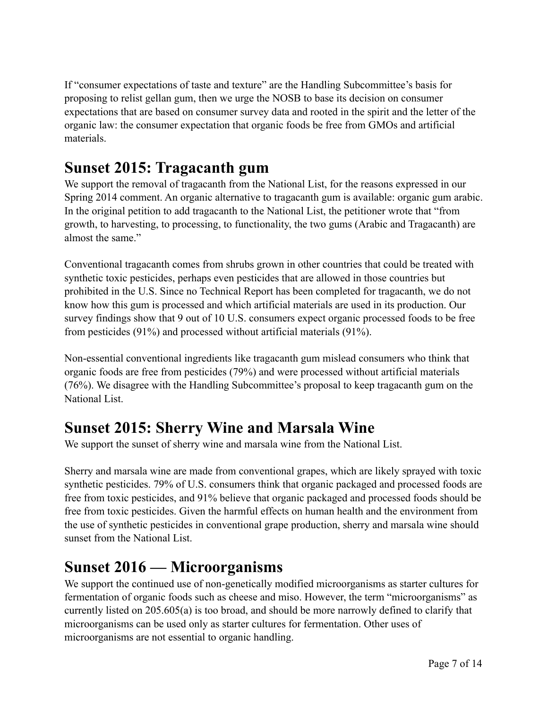If "consumer expectations of taste and texture" are the Handling Subcommittee's basis for proposing to relist gellan gum, then we urge the NOSB to base its decision on consumer expectations that are based on consumer survey data and rooted in the spirit and the letter of the organic law: the consumer expectation that organic foods be free from GMOs and artificial materials.

#### **Sunset 2015: Tragacanth gum**

We support the removal of tragacanth from the National List, for the reasons expressed in our Spring 2014 comment. An organic alternative to tragacanth gum is available: organic gum arabic. In the original petition to add tragacanth to the National List, the petitioner wrote that "from growth, to harvesting, to processing, to functionality, the two gums (Arabic and Tragacanth) are almost the same."

Conventional tragacanth comes from shrubs grown in other countries that could be treated with synthetic toxic pesticides, perhaps even pesticides that are allowed in those countries but prohibited in the U.S. Since no Technical Report has been completed for tragacanth, we do not know how this gum is processed and which artificial materials are used in its production. Our survey findings show that 9 out of 10 U.S. consumers expect organic processed foods to be free from pesticides (91%) and processed without artificial materials (91%).

Non-essential conventional ingredients like tragacanth gum mislead consumers who think that organic foods are free from pesticides (79%) and were processed without artificial materials (76%). We disagree with the Handling Subcommittee's proposal to keep tragacanth gum on the National List.

#### **Sunset 2015: Sherry Wine and Marsala Wine**

We support the sunset of sherry wine and marsala wine from the National List.

Sherry and marsala wine are made from conventional grapes, which are likely sprayed with toxic synthetic pesticides. 79% of U.S. consumers think that organic packaged and processed foods are free from toxic pesticides, and 91% believe that organic packaged and processed foods should be free from toxic pesticides. Given the harmful effects on human health and the environment from the use of synthetic pesticides in conventional grape production, sherry and marsala wine should sunset from the National List.

#### **Sunset 2016 — Microorganisms**

We support the continued use of non-genetically modified microorganisms as starter cultures for fermentation of organic foods such as cheese and miso. However, the term "microorganisms" as currently listed on 205.605(a) is too broad, and should be more narrowly defined to clarify that microorganisms can be used only as starter cultures for fermentation. Other uses of microorganisms are not essential to organic handling.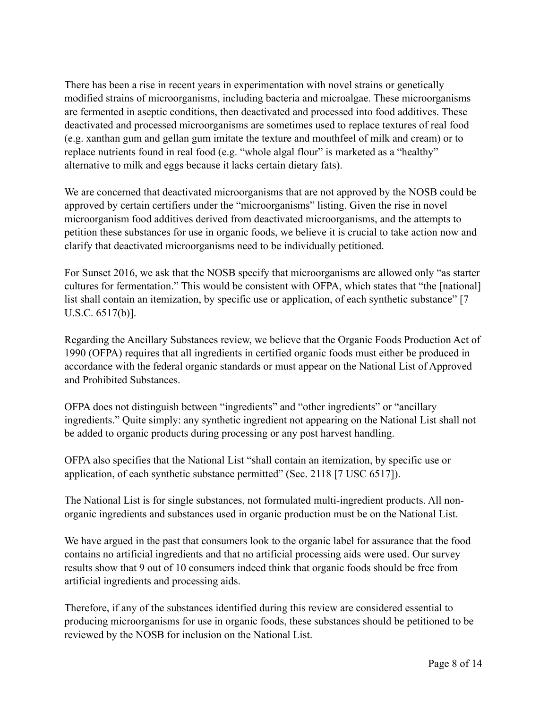There has been a rise in recent years in experimentation with novel strains or genetically modified strains of microorganisms, including bacteria and microalgae. These microorganisms are fermented in aseptic conditions, then deactivated and processed into food additives. These deactivated and processed microorganisms are sometimes used to replace textures of real food (e.g. xanthan gum and gellan gum imitate the texture and mouthfeel of milk and cream) or to replace nutrients found in real food (e.g. "whole algal flour" is marketed as a "healthy" alternative to milk and eggs because it lacks certain dietary fats).

We are concerned that deactivated microorganisms that are not approved by the NOSB could be approved by certain certifiers under the "microorganisms" listing. Given the rise in novel microorganism food additives derived from deactivated microorganisms, and the attempts to petition these substances for use in organic foods, we believe it is crucial to take action now and clarify that deactivated microorganisms need to be individually petitioned.

For Sunset 2016, we ask that the NOSB specify that microorganisms are allowed only "as starter cultures for fermentation." This would be consistent with OFPA, which states that "the [national] list shall contain an itemization, by specific use or application, of each synthetic substance" [7] U.S.C. 6517(b)].

Regarding the Ancillary Substances review, we believe that the Organic Foods Production Act of 1990 (OFPA) requires that all ingredients in certified organic foods must either be produced in accordance with the federal organic standards or must appear on the National List of Approved and Prohibited Substances.

OFPA does not distinguish between "ingredients" and "other ingredients" or "ancillary ingredients." Quite simply: any synthetic ingredient not appearing on the National List shall not be added to organic products during processing or any post harvest handling.

OFPA also specifies that the National List "shall contain an itemization, by specific use or application, of each synthetic substance permitted" (Sec. 2118 [7 USC 6517]).

The National List is for single substances, not formulated multi-ingredient products. All nonorganic ingredients and substances used in organic production must be on the National List.

We have argued in the past that consumers look to the organic label for assurance that the food contains no artificial ingredients and that no artificial processing aids were used. Our survey results show that 9 out of 10 consumers indeed think that organic foods should be free from artificial ingredients and processing aids.

Therefore, if any of the substances identified during this review are considered essential to producing microorganisms for use in organic foods, these substances should be petitioned to be reviewed by the NOSB for inclusion on the National List.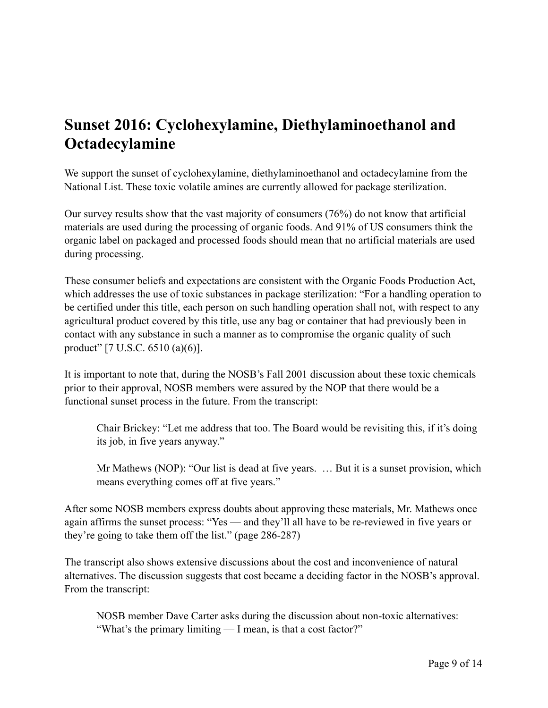### **Sunset 2016: Cyclohexylamine, Diethylaminoethanol and Octadecylamine**

We support the sunset of cyclohexylamine, diethylaminoethanol and octadecylamine from the National List. These toxic volatile amines are currently allowed for package sterilization.

Our survey results show that the vast majority of consumers (76%) do not know that artificial materials are used during the processing of organic foods. And 91% of US consumers think the organic label on packaged and processed foods should mean that no artificial materials are used during processing.

These consumer beliefs and expectations are consistent with the Organic Foods Production Act, which addresses the use of toxic substances in package sterilization: "For a handling operation to be certified under this title, each person on such handling operation shall not, with respect to any agricultural product covered by this title, use any bag or container that had previously been in contact with any substance in such a manner as to compromise the organic quality of such product" [7 U.S.C. 6510 (a)(6)].

It is important to note that, during the NOSB's Fall 2001 discussion about these toxic chemicals prior to their approval, NOSB members were assured by the NOP that there would be a functional sunset process in the future. From the transcript:

Chair Brickey: "Let me address that too. The Board would be revisiting this, if it's doing its job, in five years anyway."

Mr Mathews (NOP): "Our list is dead at five years. … But it is a sunset provision, which means everything comes off at five years."

After some NOSB members express doubts about approving these materials, Mr. Mathews once again affirms the sunset process: "Yes — and they'll all have to be re-reviewed in five years or they're going to take them off the list." (page 286-287)

The transcript also shows extensive discussions about the cost and inconvenience of natural alternatives. The discussion suggests that cost became a deciding factor in the NOSB's approval. From the transcript:

NOSB member Dave Carter asks during the discussion about non-toxic alternatives: "What's the primary limiting — I mean, is that a cost factor?"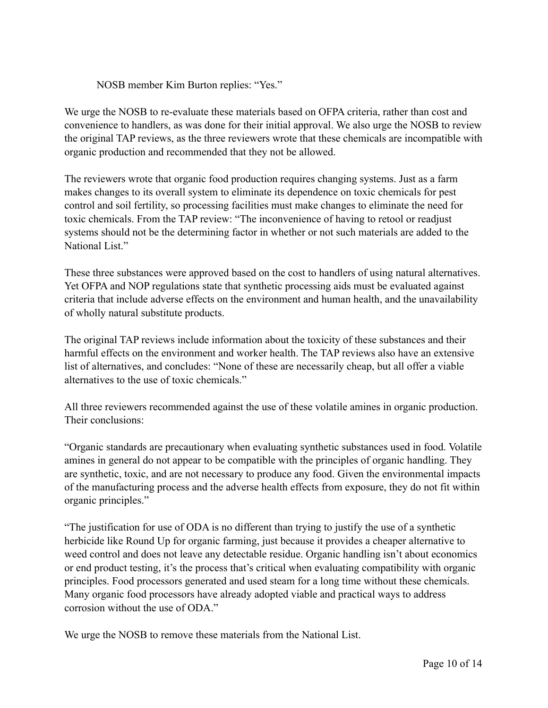NOSB member Kim Burton replies: "Yes."

We urge the NOSB to re-evaluate these materials based on OFPA criteria, rather than cost and convenience to handlers, as was done for their initial approval. We also urge the NOSB to review the original TAP reviews, as the three reviewers wrote that these chemicals are incompatible with organic production and recommended that they not be allowed.

The reviewers wrote that organic food production requires changing systems. Just as a farm makes changes to its overall system to eliminate its dependence on toxic chemicals for pest control and soil fertility, so processing facilities must make changes to eliminate the need for toxic chemicals. From the TAP review: "The inconvenience of having to retool or readjust systems should not be the determining factor in whether or not such materials are added to the National List."

These three substances were approved based on the cost to handlers of using natural alternatives. Yet OFPA and NOP regulations state that synthetic processing aids must be evaluated against criteria that include adverse effects on the environment and human health, and the unavailability of wholly natural substitute products.

The original TAP reviews include information about the toxicity of these substances and their harmful effects on the environment and worker health. The TAP reviews also have an extensive list of alternatives, and concludes: "None of these are necessarily cheap, but all offer a viable alternatives to the use of toxic chemicals."

All three reviewers recommended against the use of these volatile amines in organic production. Their conclusions:

"Organic standards are precautionary when evaluating synthetic substances used in food. Volatile amines in general do not appear to be compatible with the principles of organic handling. They are synthetic, toxic, and are not necessary to produce any food. Given the environmental impacts of the manufacturing process and the adverse health effects from exposure, they do not fit within organic principles."

"The justification for use of ODA is no different than trying to justify the use of a synthetic herbicide like Round Up for organic farming, just because it provides a cheaper alternative to weed control and does not leave any detectable residue. Organic handling isn't about economics or end product testing, it's the process that's critical when evaluating compatibility with organic principles. Food processors generated and used steam for a long time without these chemicals. Many organic food processors have already adopted viable and practical ways to address corrosion without the use of ODA."

We urge the NOSB to remove these materials from the National List.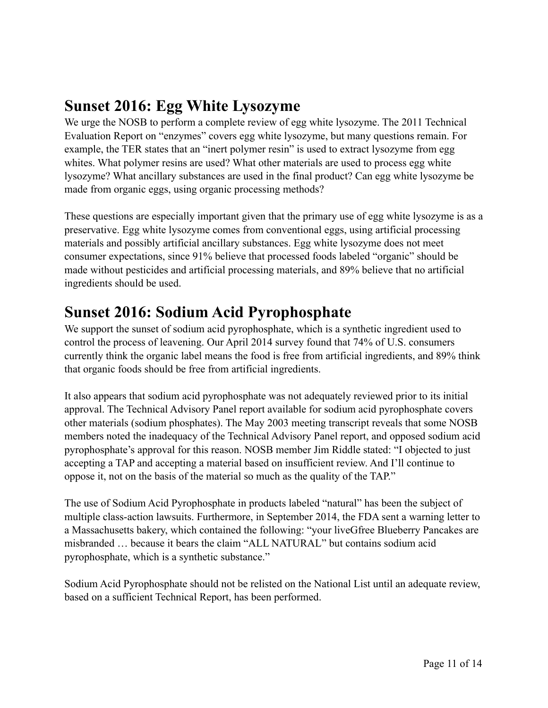### **Sunset 2016: Egg White Lysozyme**

We urge the NOSB to perform a complete review of egg white lysozyme. The 2011 Technical Evaluation Report on "enzymes" covers egg white lysozyme, but many questions remain. For example, the TER states that an "inert polymer resin" is used to extract lysozyme from egg whites. What polymer resins are used? What other materials are used to process egg white lysozyme? What ancillary substances are used in the final product? Can egg white lysozyme be made from organic eggs, using organic processing methods?

These questions are especially important given that the primary use of egg white lysozyme is as a preservative. Egg white lysozyme comes from conventional eggs, using artificial processing materials and possibly artificial ancillary substances. Egg white lysozyme does not meet consumer expectations, since 91% believe that processed foods labeled "organic" should be made without pesticides and artificial processing materials, and 89% believe that no artificial ingredients should be used.

### **Sunset 2016: Sodium Acid Pyrophosphate**

We support the sunset of sodium acid pyrophosphate, which is a synthetic ingredient used to control the process of leavening. Our April 2014 survey found that 74% of U.S. consumers currently think the organic label means the food is free from artificial ingredients, and 89% think that organic foods should be free from artificial ingredients.

It also appears that sodium acid pyrophosphate was not adequately reviewed prior to its initial approval. The Technical Advisory Panel report available for sodium acid pyrophosphate covers other materials (sodium phosphates). The May 2003 meeting transcript reveals that some NOSB members noted the inadequacy of the Technical Advisory Panel report, and opposed sodium acid pyrophosphate's approval for this reason. NOSB member Jim Riddle stated: "I objected to just accepting a TAP and accepting a material based on insufficient review. And I'll continue to oppose it, not on the basis of the material so much as the quality of the TAP."

The use of Sodium Acid Pyrophosphate in products labeled "natural" has been the subject of multiple class-action lawsuits. Furthermore, in September 2014, the FDA sent a warning letter to a Massachusetts bakery, which contained the following: "your liveGfree Blueberry Pancakes are misbranded … because it bears the claim "ALL NATURAL" but contains sodium acid pyrophosphate, which is a synthetic substance."

Sodium Acid Pyrophosphate should not be relisted on the National List until an adequate review, based on a sufficient Technical Report, has been performed.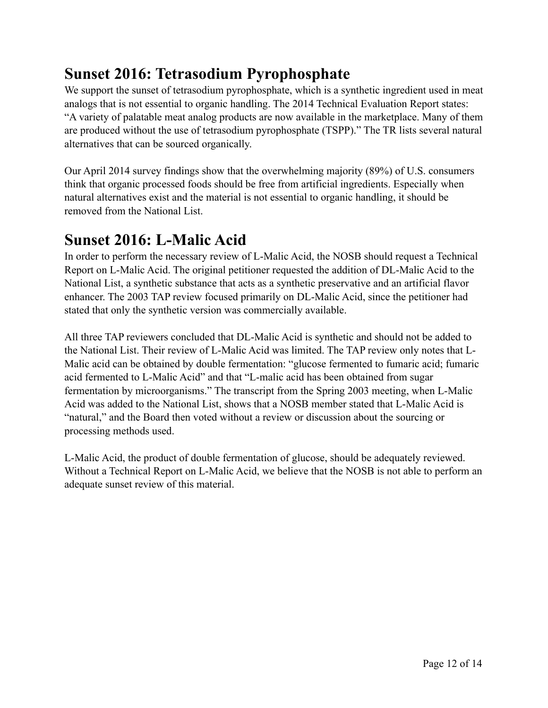### **Sunset 2016: Tetrasodium Pyrophosphate**

We support the sunset of tetrasodium pyrophosphate, which is a synthetic ingredient used in meat analogs that is not essential to organic handling. The 2014 Technical Evaluation Report states: "A variety of palatable meat analog products are now available in the marketplace. Many of them are produced without the use of tetrasodium pyrophosphate (TSPP)." The TR lists several natural alternatives that can be sourced organically.

Our April 2014 survey findings show that the overwhelming majority (89%) of U.S. consumers think that organic processed foods should be free from artificial ingredients. Especially when natural alternatives exist and the material is not essential to organic handling, it should be removed from the National List.

#### **Sunset 2016: L-Malic Acid**

In order to perform the necessary review of L-Malic Acid, the NOSB should request a Technical Report on L-Malic Acid. The original petitioner requested the addition of DL-Malic Acid to the National List, a synthetic substance that acts as a synthetic preservative and an artificial flavor enhancer. The 2003 TAP review focused primarily on DL-Malic Acid, since the petitioner had stated that only the synthetic version was commercially available.

All three TAP reviewers concluded that DL-Malic Acid is synthetic and should not be added to the National List. Their review of L-Malic Acid was limited. The TAP review only notes that L-Malic acid can be obtained by double fermentation: "glucose fermented to fumaric acid; fumaric acid fermented to L-Malic Acid" and that "L-malic acid has been obtained from sugar fermentation by microorganisms." The transcript from the Spring 2003 meeting, when L-Malic Acid was added to the National List, shows that a NOSB member stated that L-Malic Acid is "natural," and the Board then voted without a review or discussion about the sourcing or processing methods used.

L-Malic Acid, the product of double fermentation of glucose, should be adequately reviewed. Without a Technical Report on L-Malic Acid, we believe that the NOSB is not able to perform an adequate sunset review of this material.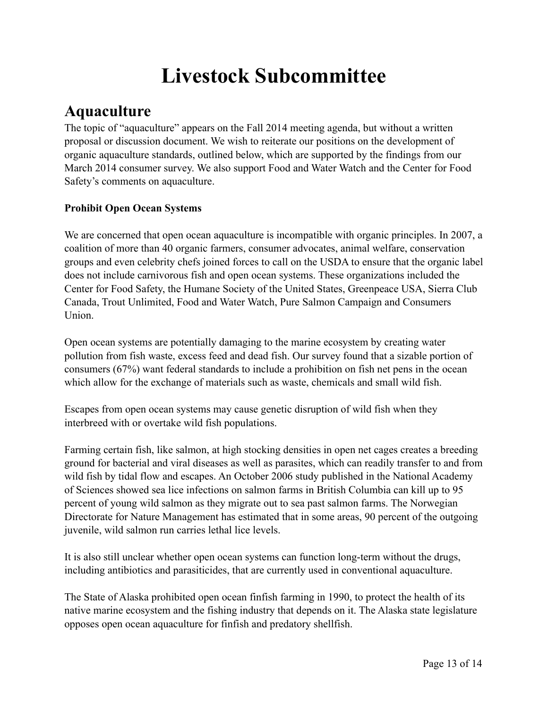## **Livestock Subcommittee**

## **Aquaculture**

The topic of "aquaculture" appears on the Fall 2014 meeting agenda, but without a written proposal or discussion document. We wish to reiterate our positions on the development of organic aquaculture standards, outlined below, which are supported by the findings from our March 2014 consumer survey. We also support Food and Water Watch and the Center for Food Safety's comments on aquaculture.

#### **Prohibit Open Ocean Systems**

We are concerned that open ocean aquaculture is incompatible with organic principles. In 2007, a coalition of more than 40 organic farmers, consumer advocates, animal welfare, conservation groups and even celebrity chefs joined forces to call on the USDA to ensure that the organic label does not include carnivorous fish and open ocean systems. These organizations included the Center for Food Safety, the Humane Society of the United States, Greenpeace USA, Sierra Club Canada, Trout Unlimited, Food and Water Watch, Pure Salmon Campaign and Consumers Union.

Open ocean systems are potentially damaging to the marine ecosystem by creating water pollution from fish waste, excess feed and dead fish. Our survey found that a sizable portion of consumers (67%) want federal standards to include a prohibition on fish net pens in the ocean which allow for the exchange of materials such as waste, chemicals and small wild fish.

Escapes from open ocean systems may cause genetic disruption of wild fish when they interbreed with or overtake wild fish populations.

Farming certain fish, like salmon, at high stocking densities in open net cages creates a breeding ground for bacterial and viral diseases as well as parasites, which can readily transfer to and from wild fish by tidal flow and escapes. An October 2006 study published in the National Academy of Sciences showed sea lice infections on salmon farms in British Columbia can kill up to 95 percent of young wild salmon as they migrate out to sea past salmon farms. The Norwegian Directorate for Nature Management has estimated that in some areas, 90 percent of the outgoing juvenile, wild salmon run carries lethal lice levels.

It is also still unclear whether open ocean systems can function long-term without the drugs, including antibiotics and parasiticides, that are currently used in conventional aquaculture.

The State of Alaska prohibited open ocean finfish farming in 1990, to protect the health of its native marine ecosystem and the fishing industry that depends on it. The Alaska state legislature opposes open ocean aquaculture for finfish and predatory shellfish.